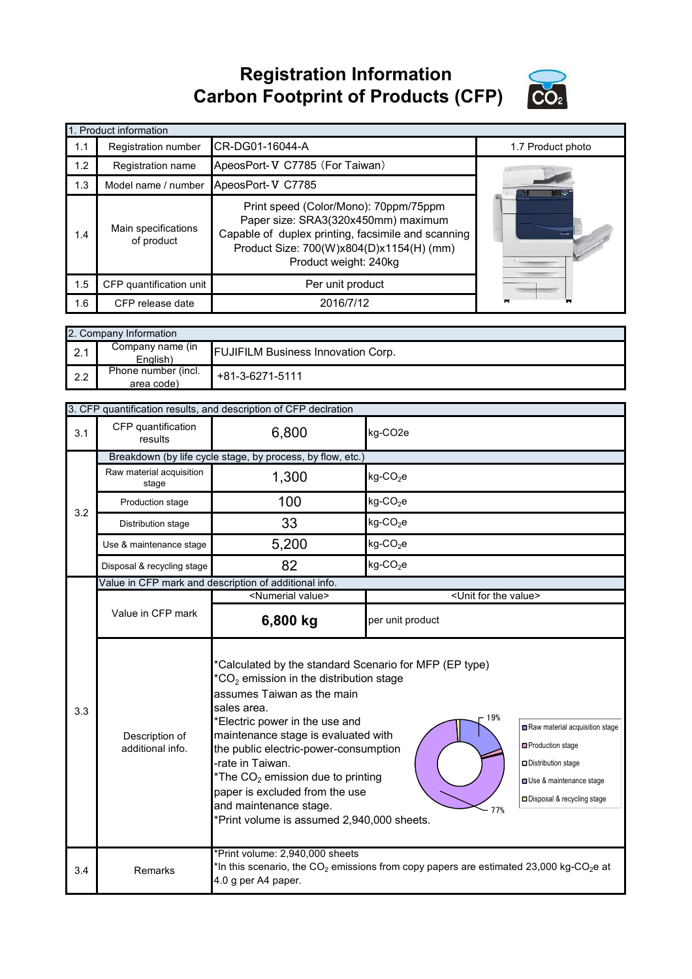## **Registration Information Carbon Footprint of Products (CFP)**



|     | 1. Product information                                                                                                                                                                                                                       |                                |                   |  |  |  |
|-----|----------------------------------------------------------------------------------------------------------------------------------------------------------------------------------------------------------------------------------------------|--------------------------------|-------------------|--|--|--|
| 1.1 | Registration number                                                                                                                                                                                                                          | CR-DG01-16044-A                | 1.7 Product photo |  |  |  |
| 1.2 | Registration name                                                                                                                                                                                                                            | ApeosPort-V C7785 (For Taiwan) |                   |  |  |  |
| 1.3 | Model name / number                                                                                                                                                                                                                          | ApeosPort-V C7785              |                   |  |  |  |
| 1.4 | Print speed (Color/Mono): 70ppm/75ppm<br>Paper size: SRA3(320x450mm) maximum<br>Main specifications<br>Capable of duplex printing, facsimile and scanning<br>of product<br>Product Size: 700(W)x804(D)x1154(H) (mm)<br>Product weight: 240kg |                                |                   |  |  |  |
| 1.5 | CFP quantification unit                                                                                                                                                                                                                      | Per unit product               |                   |  |  |  |
| 1.6 | CFP release date                                                                                                                                                                                                                             | 2016/7/12                      | п                 |  |  |  |

|     | 2. Company Information            |                                           |  |  |  |
|-----|-----------------------------------|-------------------------------------------|--|--|--|
| 2.1 | Company name (in<br>English)      | <b>FUJIFILM Business Innovation Corp.</b> |  |  |  |
| 2.2 | Phone number (incl.<br>area code) | +81-3-6271-5111                           |  |  |  |

|     | 3. CFP quantification results, and description of CFP declration |                                                                                                                                                                                                                                                                                                                                                                                                                                                                                                                                                                                              |                                      |  |  |
|-----|------------------------------------------------------------------|----------------------------------------------------------------------------------------------------------------------------------------------------------------------------------------------------------------------------------------------------------------------------------------------------------------------------------------------------------------------------------------------------------------------------------------------------------------------------------------------------------------------------------------------------------------------------------------------|--------------------------------------|--|--|
| 3.1 | CFP quantification<br>results                                    | 6,800                                                                                                                                                                                                                                                                                                                                                                                                                                                                                                                                                                                        | kg-CO2e                              |  |  |
|     | Breakdown (by life cycle stage, by process, by flow, etc.)       |                                                                                                                                                                                                                                                                                                                                                                                                                                                                                                                                                                                              |                                      |  |  |
|     | Raw material acquisition<br>stage                                | 1,300                                                                                                                                                                                                                                                                                                                                                                                                                                                                                                                                                                                        | $kg$ -CO <sub>2</sub> e              |  |  |
| 3.2 | Production stage                                                 | 100                                                                                                                                                                                                                                                                                                                                                                                                                                                                                                                                                                                          | $kg$ -CO <sub>2</sub> e              |  |  |
|     | Distribution stage                                               | 33                                                                                                                                                                                                                                                                                                                                                                                                                                                                                                                                                                                           | $kg$ -CO <sub>2</sub> e              |  |  |
|     | Use & maintenance stage                                          | 5,200                                                                                                                                                                                                                                                                                                                                                                                                                                                                                                                                                                                        | $kg$ -CO <sub>2</sub> e              |  |  |
|     | Disposal & recycling stage                                       | 82                                                                                                                                                                                                                                                                                                                                                                                                                                                                                                                                                                                           | $kg$ -CO <sub>2</sub> e              |  |  |
|     |                                                                  | Value in CFP mark and description of additional info.                                                                                                                                                                                                                                                                                                                                                                                                                                                                                                                                        |                                      |  |  |
|     |                                                                  | <numerial value=""></numerial>                                                                                                                                                                                                                                                                                                                                                                                                                                                                                                                                                               | <unit for="" the="" value=""></unit> |  |  |
|     | Value in CFP mark                                                | 6,800 kg                                                                                                                                                                                                                                                                                                                                                                                                                                                                                                                                                                                     | per unit product                     |  |  |
| 3.3 | Description of<br>additional info.                               | *Calculated by the standard Scenario for MFP (EP type)<br>$*CO2$ emission in the distribution stage<br>assumes Taiwan as the main<br>sales area.<br>19%<br>*Electric power in the use and<br>Raw material acquisition stage<br>maintenance stage is evaluated with<br>□ Production stage<br>the public electric-power-consumption<br>-rate in Taiwan.<br>Distribution stage<br>*The $CO2$ emission due to printing<br>Use & maintenance stage<br>paper is excluded from the use<br>Disposal & recycling stage<br>and maintenance stage.<br>77%<br>*Print volume is assumed 2,940,000 sheets. |                                      |  |  |
| 3.4 | Remarks                                                          | *Print volume: 2,940,000 sheets<br>*In this scenario, the CO <sub>2</sub> emissions from copy papers are estimated 23,000 kg-CO <sub>2</sub> e at<br>4.0 g per A4 paper.                                                                                                                                                                                                                                                                                                                                                                                                                     |                                      |  |  |